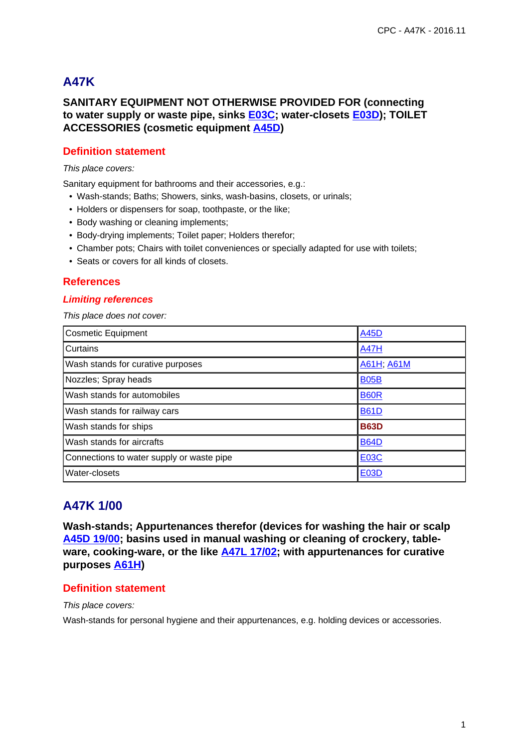# **A47K**

# **SANITARY EQUIPMENT NOT OTHERWISE PROVIDED FOR (connecting to water supply or waste pipe, sinks E03C; water-closets E03D); TOILET ACCESSORIES (cosmetic equipment A45D)**

# **Definition statement**

### This place covers:

Sanitary equipment for bathrooms and their accessories, e.g.:

- Wash-stands; Baths; Showers, sinks, wash-basins, closets, or urinals;
- Holders or dispensers for soap, toothpaste, or the like;
- Body washing or cleaning implements;
- Body-drying implements; Toilet paper; Holders therefor;
- Chamber pots; Chairs with toilet conveniences or specially adapted for use with toilets;
- Seats or covers for all kinds of closets.

## **References**

## **Limiting references**

This place does not cover:

| <b>Cosmetic Equipment</b>                 | <b>A45D</b> |
|-------------------------------------------|-------------|
| Curtains                                  | <b>A47H</b> |
| Wash stands for curative purposes         | A61H, A61M  |
| Nozzles; Spray heads                      | <b>B05B</b> |
| Wash stands for automobiles               | <b>B60R</b> |
| Wash stands for railway cars              | <b>B61D</b> |
| Wash stands for ships                     | <b>B63D</b> |
| Wash stands for aircrafts                 | <b>B64D</b> |
| Connections to water supply or waste pipe | <b>E03C</b> |
| Water-closets                             | <b>E03D</b> |

# **A47K 1/00**

**Wash-stands; Appurtenances therefor (devices for washing the hair or scalp A45D 19/00; basins used in manual washing or cleaning of crockery, tableware, cooking-ware, or the like A47L 17/02; with appurtenances for curative purposes A61H)**

# **Definition statement**

This place covers:

Wash-stands for personal hygiene and their appurtenances, e.g. holding devices or accessories.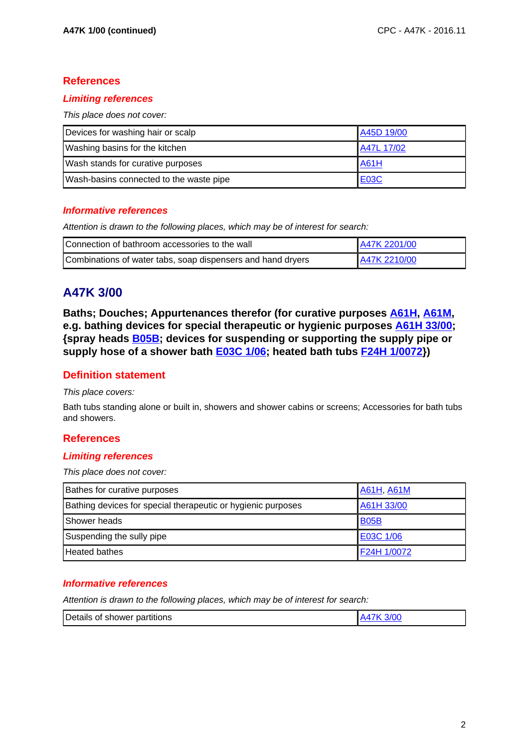# **References**

## **Limiting references**

This place does not cover:

| Devices for washing hair or scalp       | A45D 19/00  |
|-----------------------------------------|-------------|
| Washing basins for the kitchen          | A47L 17/02  |
| Wash stands for curative purposes       | <b>A61H</b> |
| Wash-basins connected to the waste pipe | <b>E03C</b> |

## **Informative references**

Attention is drawn to the following places, which may be of interest for search:

| Connection of bathroom accessories to the wall              | A47K 2201/00 |
|-------------------------------------------------------------|--------------|
| Combinations of water tabs, soap dispensers and hand dryers | A47K 2210/00 |

# **A47K 3/00**

**Baths; Douches; Appurtenances therefor (for curative purposes A61H, A61M, e.g. bathing devices for special therapeutic or hygienic purposes A61H 33/00; {spray heads B05B; devices for suspending or supporting the supply pipe or supply hose of a shower bath E03C 1/06; heated bath tubs F24H 1/0072})**

## **Definition statement**

This place covers:

Bath tubs standing alone or built in, showers and shower cabins or screens; Accessories for bath tubs and showers.

## **References**

## **Limiting references**

This place does not cover:

| Bathes for curative purposes                                 | <b>A61H, A61M</b> |
|--------------------------------------------------------------|-------------------|
| Bathing devices for special therapeutic or hygienic purposes | A61H 33/00        |
| Shower heads                                                 | <b>B05B</b>       |
| Suspending the sully pipe                                    | E03C 1/06         |
| <b>Heated bathes</b>                                         | F24H 1/0072       |

## **Informative references**

Attention is drawn to the following places, which may be of interest for search:

| Details of<br>shower partitions |  |
|---------------------------------|--|
|                                 |  |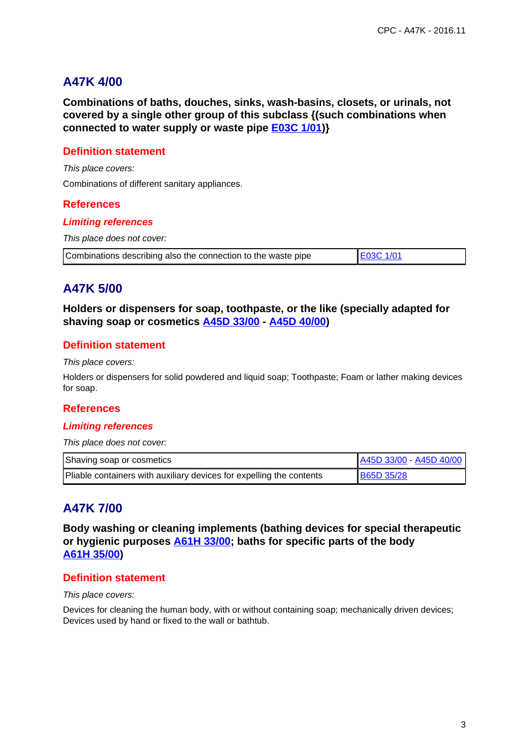# **A47K 4/00**

**Combinations of baths, douches, sinks, wash-basins, closets, or urinals, not covered by a single other group of this subclass {(such combinations when connected to water supply or waste pipe E03C 1/01)}**

# **Definition statement**

This place covers: Combinations of different sanitary appliances.

## **References**

#### **Limiting references**

This place does not cover:

Combinations describing also the connection to the waste pipe E03C 1/01

# **A47K 5/00**

**Holders or dispensers for soap, toothpaste, or the like (specially adapted for shaving soap or cosmetics A45D 33/00 - A45D 40/00)**

# **Definition statement**

This place covers:

Holders or dispensers for solid powdered and liquid soap; Toothpaste; Foam or lather making devices for soap.

## **References**

## **Limiting references**

This place does not cover:

| Shaving soap or cosmetics                                            | A45D 33/00 - A45D 40/00 |
|----------------------------------------------------------------------|-------------------------|
| Pliable containers with auxiliary devices for expelling the contents | <b>B65D 35/28</b>       |

# **A47K 7/00**

**Body washing or cleaning implements (bathing devices for special therapeutic or hygienic purposes A61H 33/00; baths for specific parts of the body A61H 35/00)**

## **Definition statement**

This place covers:

Devices for cleaning the human body, with or without containing soap; mechanically driven devices; Devices used by hand or fixed to the wall or bathtub.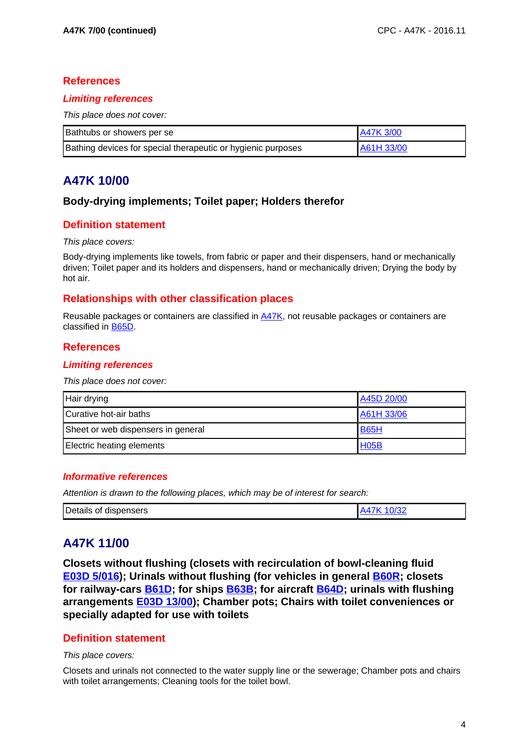## **References**

## **Limiting references**

This place does not cover:

| Bathtubs or showers per se                                   | A47K 3/00  |
|--------------------------------------------------------------|------------|
| Bathing devices for special therapeutic or hygienic purposes | A61H 33/00 |

# **A47K 10/00**

# **Body-drying implements; Toilet paper; Holders therefor**

# **Definition statement**

#### This place covers:

Body-drying implements like towels, from fabric or paper and their dispensers, hand or mechanically driven; Toilet paper and its holders and dispensers, hand or mechanically driven; Drying the body by hot air.

## **Relationships with other classification places**

Reusable packages or containers are classified in A47K, not reusable packages or containers are classified in B65D.

## **References**

## **Limiting references**

This place does not cover:

| Hair drying                        | A45D 20/00        |
|------------------------------------|-------------------|
| Curative hot-air baths             | A61H 33/06        |
| Sheet or web dispensers in general | <b>B65H</b>       |
| Electric heating elements          | H <sub>05</sub> B |

## **Informative references**

Attention is drawn to the following places, which may be of interest for search:

| Details of dispensers | ימה |
|-----------------------|-----|

# **A47K 11/00**

**Closets without flushing (closets with recirculation of bowl-cleaning fluid E03D 5/016); Urinals without flushing (for vehicles in general B60R; closets for railway-cars B61D; for ships B63B; for aircraft B64D; urinals with flushing arrangements E03D 13/00); Chamber pots; Chairs with toilet conveniences or specially adapted for use with toilets**

## **Definition statement**

#### This place covers:

Closets and urinals not connected to the water supply line or the sewerage; Chamber pots and chairs with toilet arrangements; Cleaning tools for the toilet bowl.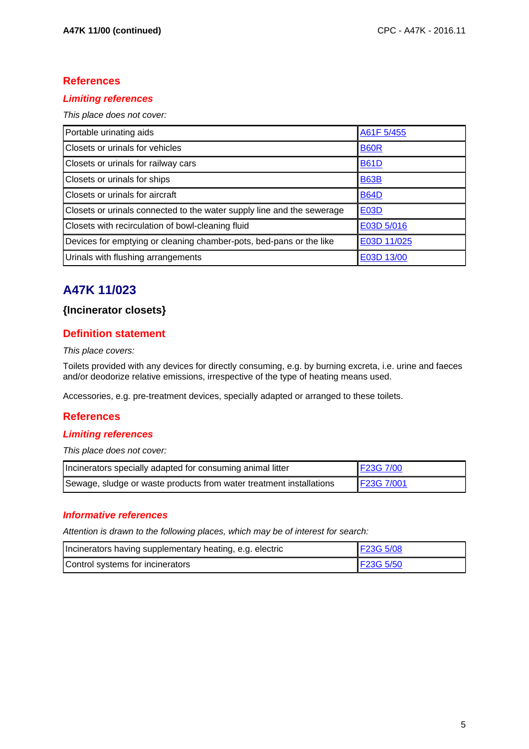# **References**

# **Limiting references**

This place does not cover:

| Portable urinating aids                                                | A61F 5/455  |
|------------------------------------------------------------------------|-------------|
| Closets or urinals for vehicles                                        | <b>B60R</b> |
| Closets or urinals for railway cars                                    | <b>B61D</b> |
| Closets or urinals for ships                                           | <b>B63B</b> |
| Closets or urinals for aircraft                                        | <b>B64D</b> |
| Closets or urinals connected to the water supply line and the sewerage | <b>E03D</b> |
| Closets with recirculation of bowl-cleaning fluid                      | E03D 5/016  |
| Devices for emptying or cleaning chamber-pots, bed-pans or the like    | E03D 11/025 |
| Urinals with flushing arrangements                                     | E03D 13/00  |

# **A47K 11/023**

# **{Incinerator closets}**

# **Definition statement**

#### This place covers:

Toilets provided with any devices for directly consuming, e.g. by burning excreta, i.e. urine and faeces and/or deodorize relative emissions, irrespective of the type of heating means used.

Accessories, e.g. pre-treatment devices, specially adapted or arranged to these toilets.

# **References**

## **Limiting references**

This place does not cover:

| Incinerators specially adapted for consuming animal litter          | F23G 7/00  |
|---------------------------------------------------------------------|------------|
| Sewage, sludge or waste products from water treatment installations | F23G 7/001 |

## **Informative references**

Attention is drawn to the following places, which may be of interest for search:

| Incinerators having supplementary heating, e.g. electric | F23G 5/08 |
|----------------------------------------------------------|-----------|
| Control systems for incinerators                         | F23G 5/50 |